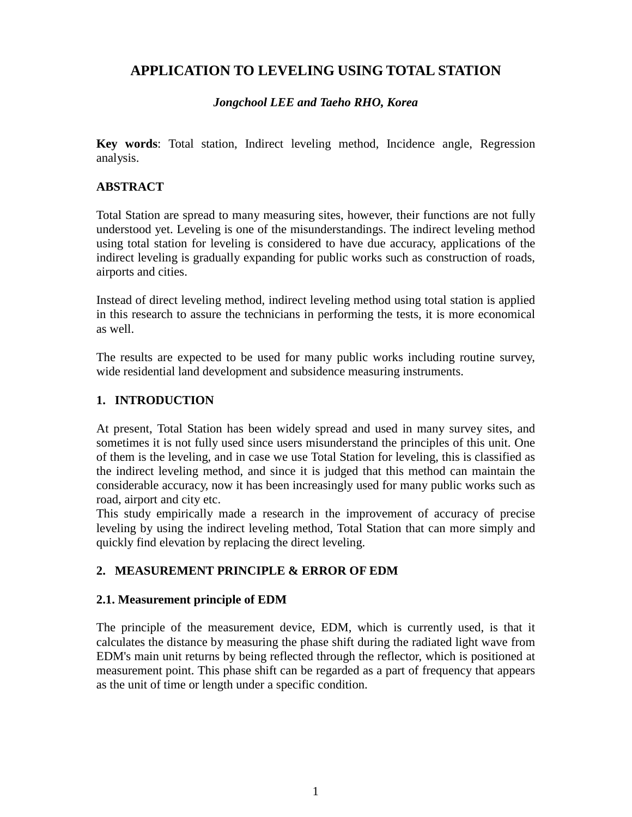# **APPLICATION TO LEVELING USING TOTAL STATION**

## *Jongchool LEE and Taeho RHO, Korea*

**Key words**: Total station, Indirect leveling method, Incidence angle, Regression analysis.

## **ABSTRACT**

Total Station are spread to many measuring sites, however, their functions are not fully understood yet. Leveling is one of the misunderstandings. The indirect leveling method using total station for leveling is considered to have due accuracy, applications of the indirect leveling is gradually expanding for public works such as construction of roads, airports and cities.

Instead of direct leveling method, indirect leveling method using total station is applied in this research to assure the technicians in performing the tests, it is more economical as well.

The results are expected to be used for many public works including routine survey, wide residential land development and subsidence measuring instruments.

## **1. INTRODUCTION**

At present, Total Station has been widely spread and used in many survey sites, and sometimes it is not fully used since users misunderstand the principles of this unit. One of them is the leveling, and in case we use Total Station for leveling, this is classified as the indirect leveling method, and since it is judged that this method can maintain the considerable accuracy, now it has been increasingly used for many public works such as road, airport and city etc.

This study empirically made a research in the improvement of accuracy of precise leveling by using the indirect leveling method, Total Station that can more simply and quickly find elevation by replacing the direct leveling.

## **2. MEASUREMENT PRINCIPLE & ERROR OF EDM**

## **2.1. Measurement principle of EDM**

The principle of the measurement device, EDM, which is currently used, is that it calculates the distance by measuring the phase shift during the radiated light wave from EDM's main unit returns by being reflected through the reflector, which is positioned at measurement point. This phase shift can be regarded as a part of frequency that appears as the unit of time or length under a specific condition.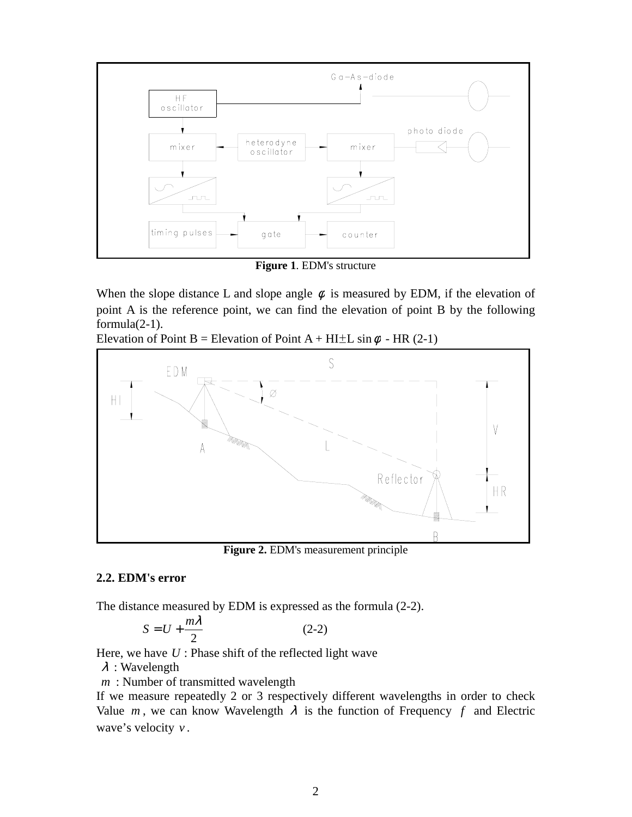

**Figure 1**. EDM's structure

When the slope distance L and slope angle  $\phi$  is measured by EDM, if the elevation of point A is the reference point, we can find the elevation of point B by the following formula(2-1).

Elevation of Point B = Elevation of Point A + HI $\pm$ L sin $\phi$  - HR (2-1)



**Figure 2.** EDM's measurement principle

#### **2.2. EDM's error**

The distance measured by EDM is expressed as the formula (2-2).

$$
S = U + \frac{m\lambda}{2} \tag{2-2}
$$

Here, we have *U* : Phase shift of the reflected light wave

 $\lambda$ : Wavelength

*m* : Number of transmitted wavelength

If we measure repeatedly 2 or 3 respectively different wavelengths in order to check Value *m*, we can know Wavelength  $\lambda$  is the function of Frequency f and Electric wave's velocity *v* .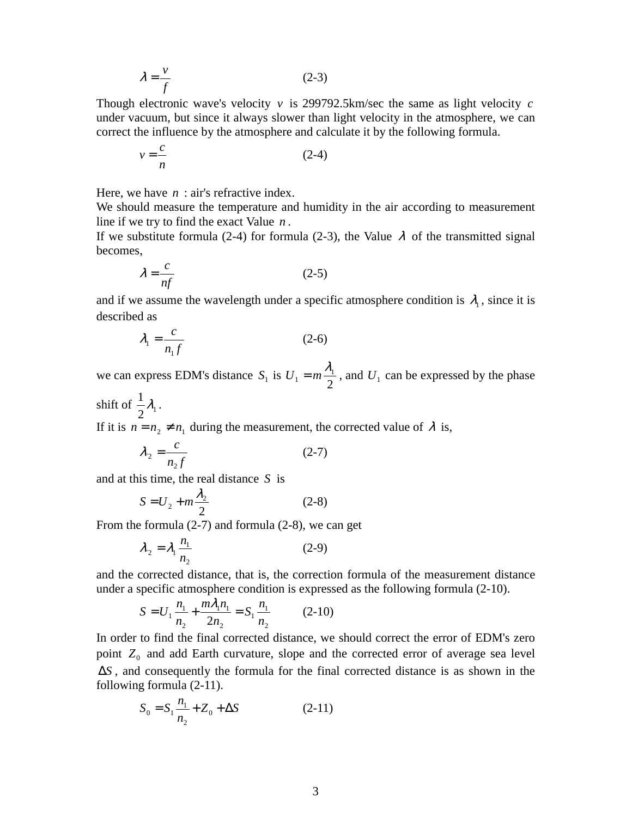$$
\lambda = \frac{v}{f} \tag{2-3}
$$

Though electronic wave's velocity  $v$  is 299792.5km/sec the same as light velocity  $c$ under vacuum, but since it always slower than light velocity in the atmosphere, we can correct the influence by the atmosphere and calculate it by the following formula.

$$
v = \frac{c}{n} \tag{2-4}
$$

Here, we have *n* : air's refractive index.

We should measure the temperature and humidity in the air according to measurement line if we try to find the exact Value *n* .

If we substitute formula (2-4) for formula (2-3), the Value  $\lambda$  of the transmitted signal becomes,

$$
\lambda = \frac{c}{nf} \tag{2-5}
$$

and if we assume the wavelength under a specific atmosphere condition is  $\lambda_1$ , since it is described as

$$
\lambda_1 = \frac{c}{n_1 f} \tag{2-6}
$$

we can express EDM's distance  $S_1$  is  $U_1 = m \frac{N_1}{2}$  $U_1 = m \frac{\lambda_1}{2}$ , and  $U_1$  can be expressed by the phase

shift of  $\frac{1}{2}\lambda_1$ .

If it is  $n = n_2 \neq n_1$  during the measurement, the corrected value of  $\lambda$  is,

$$
\lambda_2 = \frac{c}{n_2 f} \tag{2-7}
$$

and at this time, the real distance *S* is

$$
S = U_2 + m\frac{\lambda_2}{2} \tag{2-8}
$$

From the formula (2-7) and formula (2-8), we can get

$$
\lambda_2 = \lambda_1 \frac{n_1}{n_2} \tag{2-9}
$$

and the corrected distance, that is, the correction formula of the measurement distance under a specific atmosphere condition is expressed as the following formula (2-10).

$$
S = U_1 \frac{n_1}{n_2} + \frac{m\lambda_1 n_1}{2n_2} = S_1 \frac{n_1}{n_2}
$$
 (2-10)

In order to find the final corrected distance, we should correct the error of EDM's zero point  $Z_0$  and add Earth curvature, slope and the corrected error of average sea level ∆*S* , and consequently the formula for the final corrected distance is as shown in the following formula (2-11).

$$
S_0 = S_1 \frac{n_1}{n_2} + Z_0 + \Delta S \tag{2-11}
$$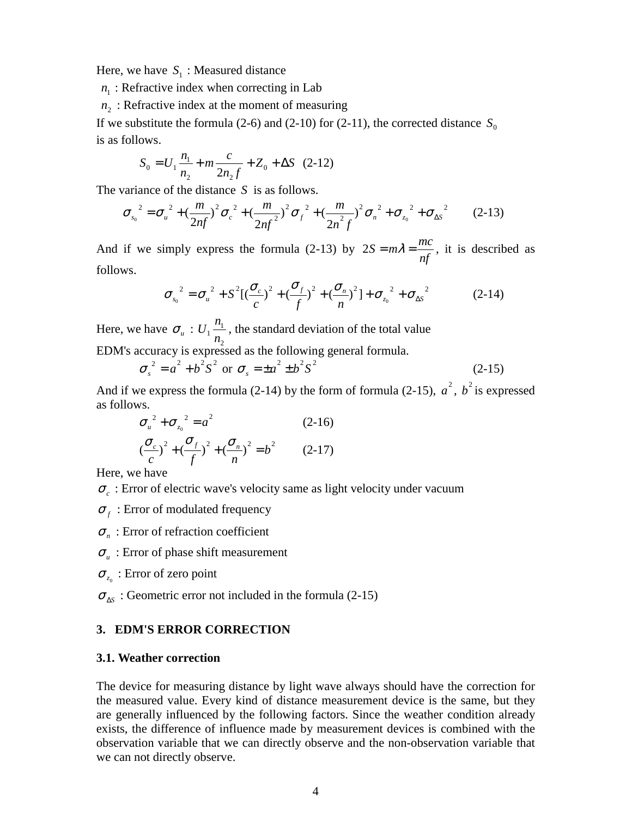Here, we have  $S_1$ : Measured distance

 $n_1$ : Refractive index when correcting in Lab

 $n<sub>2</sub>$ : Refractive index at the moment of measuring

If we substitute the formula (2-6) and (2-10) for (2-11), the corrected distance  $S_0$ is as follows.

$$
S_0 = U_1 \frac{n_1}{n_2} + m \frac{c}{2n_2 f} + Z_0 + \Delta S \quad (2-12)
$$

The variance of the distance *S* is as follows.

$$
\sigma_{s_0}^{2} = \sigma_u^{2} + \left(\frac{m}{2nf}\right)^2 \sigma_c^{2} + \left(\frac{m}{2nf^{2}}\right)^2 \sigma_f^{2} + \left(\frac{m}{2n^2f}\right)^2 \sigma_n^{2} + \sigma_{z_0}^{2} + \sigma_{\Delta S}^{2}
$$
 (2-13)

And if we simply express the formula (2-13) by  $2S = m\lambda = \frac{mc}{nf}$ , it is described as follows.

$$
\sigma_{s_0}^{2} = \sigma_u^{2} + S^{2}[(\frac{\sigma_c}{c})^{2} + (\frac{\sigma_f}{f})^{2} + (\frac{\sigma_n}{n})^{2}] + \sigma_{z_0}^{2} + \sigma_{\Delta S}^{2}
$$
 (2-14)

Here, we have  $\sigma_u$  : 2  $\frac{n_1}{n_2}$  $U_1 \frac{n_1}{n_1}$ , the standard deviation of the total value

EDM's accuracy is expressed as the following general formula.

$$
\sigma_s^2 = a^2 + b^2 S^2 \text{ or } \sigma_s = \pm a^2 \pm b^2 S^2 \tag{2-15}
$$

And if we express the formula (2-14) by the form of formula (2-15),  $a^2$ ,  $b^2$  is expressed as follows.

$$
\sigma_u^2 + \sigma_{z_0}^2 = a^2 \qquad (2-16)
$$
  

$$
(\frac{\sigma_c}{c})^2 + (\frac{\sigma_f}{f})^2 + (\frac{\sigma_n}{n})^2 = b^2 \qquad (2-17)
$$

Here, we have

<sup>σ</sup> *<sup>c</sup>* : Error of electric wave's velocity same as light velocity under vacuum

 $\sigma_f$ : Error of modulated frequency

<sup>σ</sup> *<sup>n</sup>* : Error of refraction coefficient

 $\sigma_u$ : Error of phase shift measurement

 $\sigma_{z_0}$ : Error of zero point

 $\sigma_{\text{w}}$ : Geometric error not included in the formula (2-15)

#### **3. EDM'S ERROR CORRECTION**

#### **3.1. Weather correction**

The device for measuring distance by light wave always should have the correction for the measured value. Every kind of distance measurement device is the same, but they are generally influenced by the following factors. Since the weather condition already exists, the difference of influence made by measurement devices is combined with the observation variable that we can directly observe and the non-observation variable that we can not directly observe.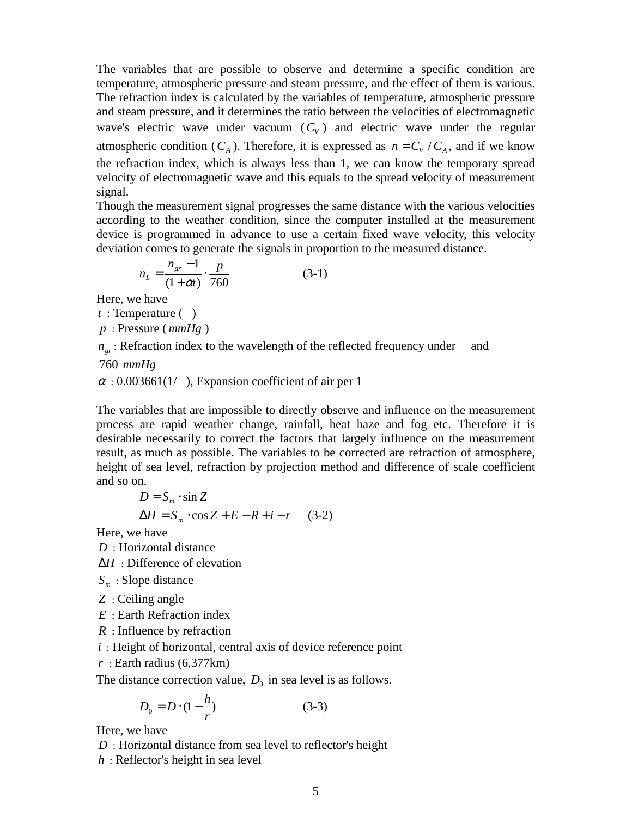The variables that are possible to observe and determine a specific condition are temperature, atmospheric pressure and steam pressure, and the effect of them is various. The refraction index is calculated by the variables of temperature, atmospheric pressure and steam pressure, and it determines the ratio between the velocities of electromagnetic wave's electric wave under vacuum  $(C_v)$  and electric wave under the regular atmospheric condition ( $C_A$ ). Therefore, it is expressed as  $n = C_V / C_A$ , and if we know the refraction index, which is always less than 1, we can know the temporary spread velocity of electromagnetic wave and this equals to the spread velocity of measurement signal.

Though the measurement signal progresses the same distance with the various velocities according to the weather condition, since the computer installed at the measurement device is programmed in advance to use a certain fixed wave velocity, this velocity deviation comes to generate the signals in proportion to the measured distance.

$$
n_L = \frac{n_{gr} - 1}{(1 + \alpha t)} \cdot \frac{p}{760}
$$
 (3-1)

Here, we have

*t* : Temperature ()

*p* : Pressure ( *mmHg* )

 $n_{cr}$ : Refraction index to the wavelength of the reflected frequency under and

760 *mmHg*

 $\alpha$  : 0.003661(1/), Expansion coefficient of air per 1

The variables that are impossible to directly observe and influence on the measurement process are rapid weather change, rainfall, heat haze and fog etc. Therefore it is desirable necessarily to correct the factors that largely influence on the measurement result, as much as possible. The variables to be corrected are refraction of atmosphere, height of sea level, refraction by projection method and difference of scale coefficient and so on.

$$
D = S_m \cdot \sin Z
$$
  
\n
$$
\Delta H = S_m \cdot \cos Z + E - R + i - r
$$
 (3-2)

Here, we have

*D* : Horizontal distance

∆*H* : Difference of elevation

*Sm* : Slope distance

- *Z* : Ceiling angle
- *E* : Earth Refraction index
- *R* : Influence by refraction

*i* : Height of horizontal, central axis of device reference point

 $r$  : Earth radius (6,377km)

The distance correction value,  $D_0$  in sea level is as follows.

$$
D_0 = D \cdot (1 - \frac{h}{r}) \tag{3-3}
$$

Here, we have

*D* : Horizontal distance from sea level to reflector's height

*h* : Reflector's height in sea level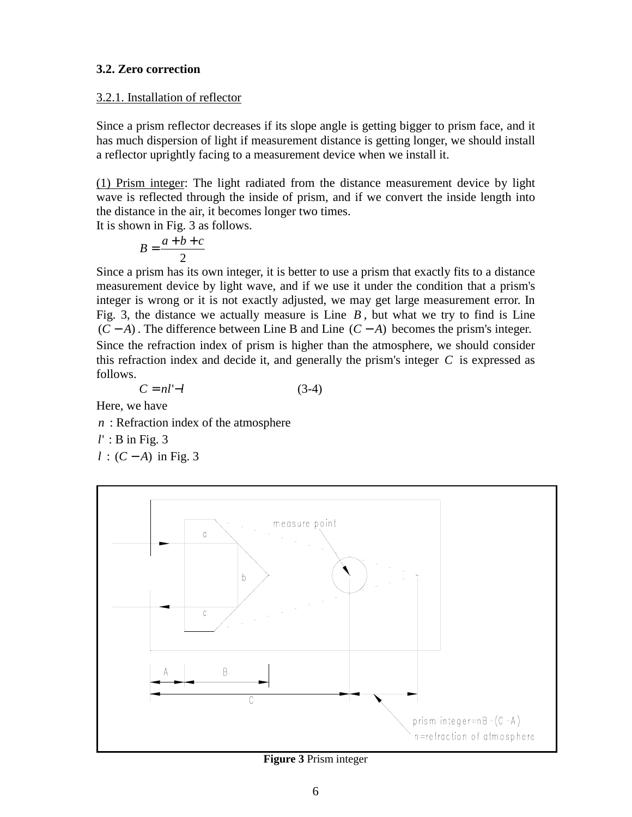### **3.2. Zero correction**

### 3.2.1. Installation of reflector

Since a prism reflector decreases if its slope angle is getting bigger to prism face, and it has much dispersion of light if measurement distance is getting longer, we should install a reflector uprightly facing to a measurement device when we install it.

(1) Prism integer: The light radiated from the distance measurement device by light wave is reflected through the inside of prism, and if we convert the inside length into the distance in the air, it becomes longer two times.

It is shown in Fig. 3 as follows.

$$
B = \frac{a+b+c}{2}
$$

Since a prism has its own integer, it is better to use a prism that exactly fits to a distance measurement device by light wave, and if we use it under the condition that a prism's integer is wrong or it is not exactly adjusted, we may get large measurement error. In Fig. 3, the distance we actually measure is Line  $B$ , but what we try to find is Line  $(C - A)$ . The difference between Line B and Line  $(C - A)$  becomes the prism's integer. Since the refraction index of prism is higher than the atmosphere, we should consider this refraction index and decide it, and generally the prism's integer *C* is expressed as follows.

$$
C = nl' - l \tag{3-4}
$$

Here, we have

$$
f_{\rm{max}}
$$

*n* : Refraction index of the atmosphere

*l*' : B in Fig. 3

*l* : (*C* − *A*) in Fig. 3



**Figure 3** Prism integer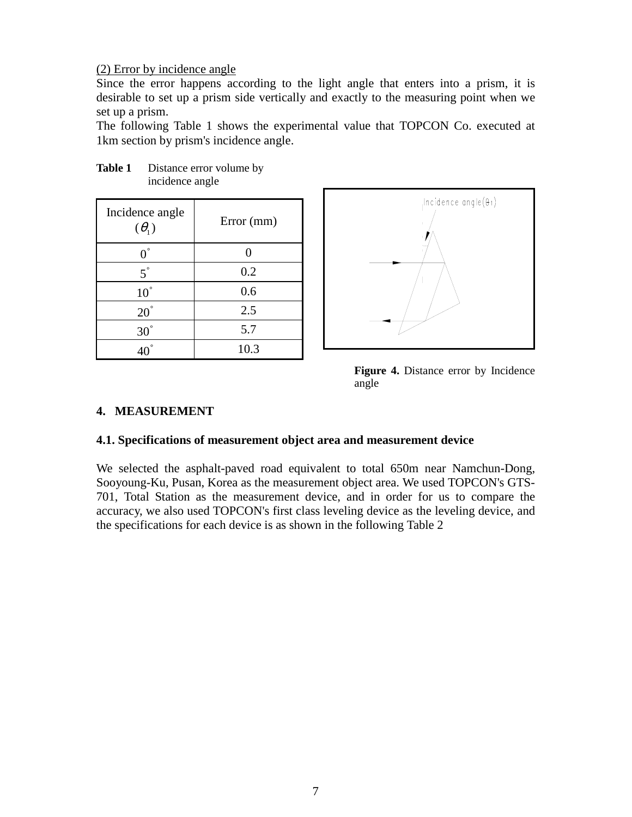### (2) Error by incidence angle

Table 1 Distance error volume by incidence angle

Since the error happens according to the light angle that enters into a prism, it is desirable to set up a prism side vertically and exactly to the measuring point when we set up a prism.

The following Table 1 shows the experimental value that TOPCON Co. executed at 1km section by prism's incidence angle.

| Incidence angle<br>$(\theta_1)$ | Error (mm) |
|---------------------------------|------------|
| $0^{\circ}$                     |            |
| $5^{\circ}$                     | 0.2        |
| $10^{\degree}$                  | 0.6        |
| $20^{\degree}$                  | 2.5        |
| $30^\circ$                      | 5.7        |
|                                 | 10.3       |





### **4. MEASUREMENT**

#### **4.1. Specifications of measurement object area and measurement device**

We selected the asphalt-paved road equivalent to total 650m near Namchun-Dong, Sooyoung-Ku, Pusan, Korea as the measurement object area. We used TOPCON's GTS-701, Total Station as the measurement device, and in order for us to compare the accuracy, we also used TOPCON's first class leveling device as the leveling device, and the specifications for each device is as shown in the following Table 2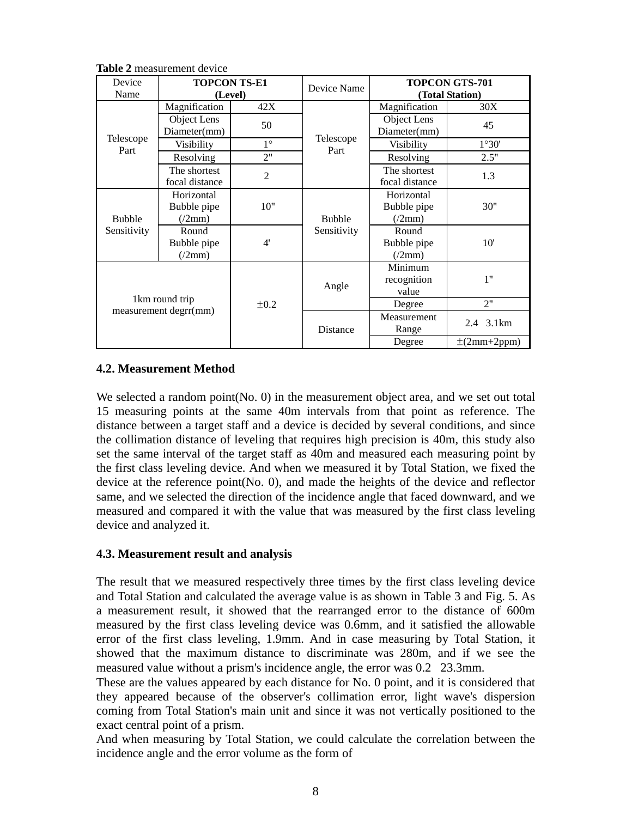| Device<br>Name               | <b>TOPCON TS-E1</b><br>(Level)          |                | Device Name     | <b>TOPCON GTS-701</b><br>(Total Station) |                  |  |
|------------------------------|-----------------------------------------|----------------|-----------------|------------------------------------------|------------------|--|
| Telescope<br>Part            | Magnification                           | 42X            |                 | Magnification                            | 30X              |  |
|                              | Object Lens<br>Diameter(mm)             | 50             |                 | Object Lens<br>Diameter(mm)              | 45               |  |
|                              | Visibility                              | $1^{\circ}$    | Telescope       | Visibility                               | 1°30'            |  |
|                              | Resolving                               | 2"             | Part            | Resolving                                | 2.5"             |  |
|                              | The shortest<br>focal distance          | $\overline{2}$ |                 | The shortest<br>focal distance           | 1.3              |  |
| <b>Bubble</b><br>Sensitivity | Horizontal<br>Bubble pipe<br>(2mm)      | 10"            | <b>Bubble</b>   | Horizontal<br>Bubble pipe<br>(2mm)       | 30"              |  |
|                              | Round<br>Bubble pipe<br>(2mm)           | 4'             | Sensitivity     | Round<br>Bubble pipe<br>(2mm)            | 10'              |  |
|                              |                                         |                | Angle           | Minimum<br>recognition<br>value          | 1"               |  |
|                              | 1km round trip<br>measurement degrr(mm) | $\pm 0.2$      |                 | Degree                                   | 2"               |  |
|                              |                                         |                | <b>Distance</b> | Measurement<br>Range                     | 2.4 3.1km        |  |
|                              |                                         |                |                 | Degree                                   | $\pm$ (2mm+2ppm) |  |

**Table 2** measurement device

## **4.2. Measurement Method**

We selected a random point (No. 0) in the measurement object area, and we set out total 15 measuring points at the same 40m intervals from that point as reference. The distance between a target staff and a device is decided by several conditions, and since the collimation distance of leveling that requires high precision is 40m, this study also set the same interval of the target staff as 40m and measured each measuring point by the first class leveling device. And when we measured it by Total Station, we fixed the device at the reference point(No. 0), and made the heights of the device and reflector same, and we selected the direction of the incidence angle that faced downward, and we measured and compared it with the value that was measured by the first class leveling device and analyzed it.

### **4.3. Measurement result and analysis**

The result that we measured respectively three times by the first class leveling device and Total Station and calculated the average value is as shown in Table 3 and Fig. 5. As a measurement result, it showed that the rearranged error to the distance of 600m measured by the first class leveling device was 0.6mm, and it satisfied the allowable error of the first class leveling, 1.9mm. And in case measuring by Total Station, it showed that the maximum distance to discriminate was 280m, and if we see the measured value without a prism's incidence angle, the error was 0.2 23.3mm.

These are the values appeared by each distance for No. 0 point, and it is considered that they appeared because of the observer's collimation error, light wave's dispersion coming from Total Station's main unit and since it was not vertically positioned to the exact central point of a prism.

And when measuring by Total Station, we could calculate the correlation between the incidence angle and the error volume as the form of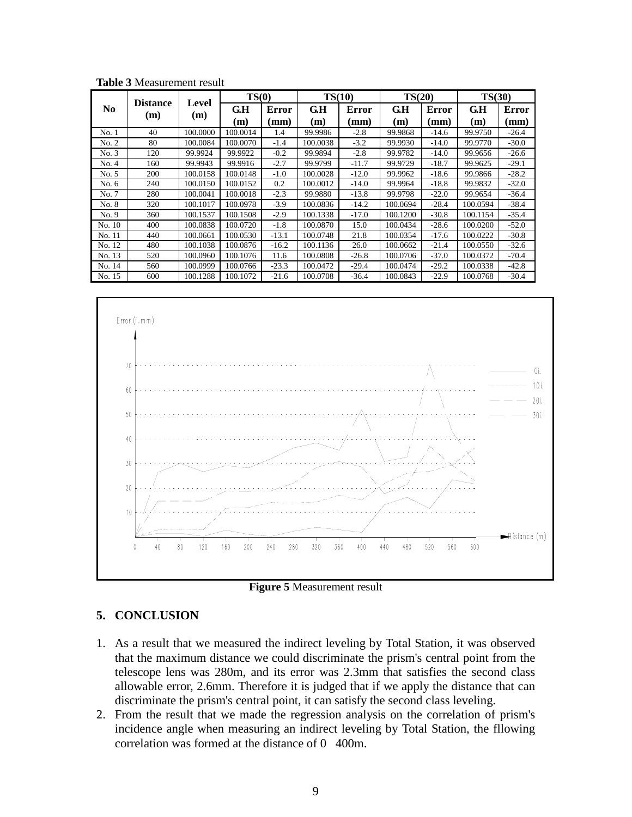|                              |     |          | TS(0)           |              | <b>TS(10)</b> |              | TS(20)          |              | TS(30)          |              |
|------------------------------|-----|----------|-----------------|--------------|---------------|--------------|-----------------|--------------|-----------------|--------------|
| <b>Distance</b><br>No<br>(m) |     | Level    | G.H             | <b>Error</b> | G.H           | <b>Error</b> | G.H             | <b>Error</b> | G.H             | <b>Error</b> |
|                              | (m) | (m)      | $(\mathbf{mm})$ | (m)          | (mm)          | (m)          | $(\mathbf{mm})$ | (m)          | $(\mathbf{mm})$ |              |
| No. 1                        | 40  | 100.0000 | 100.0014        | 1.4          | 99.9986       | $-2.8$       | 99.9868         | $-14.6$      | 99.9750         | $-26.4$      |
| No. 2                        | 80  | 100.0084 | 100.0070        | $-1.4$       | 100.0038      | $-3.2$       | 99.9930         | $-14.0$      | 99.9770         | $-30.0$      |
| No. 3                        | 120 | 99.9924  | 99.9922         | $-0.2$       | 99.9894       | $-2.8$       | 99.9782         | $-14.0$      | 99.9656         | $-26.6$      |
| No. 4                        | 160 | 99.9943  | 99.9916         | $-2.7$       | 99.9799       | $-11.7$      | 99.9729         | $-18.7$      | 99.9625         | $-29.1$      |
| No. 5                        | 200 | 100.0158 | 100.0148        | $-1.0$       | 100.0028      | $-12.0$      | 99.9962         | $-18.6$      | 99.9866         | $-28.2$      |
| No. $6$                      | 240 | 100.0150 | 100.0152        | 0.2          | 100.0012      | $-14.0$      | 99.9964         | $-18.8$      | 99.9832         | $-32.0$      |
| No. 7                        | 280 | 100.0041 | 100.0018        | $-2.3$       | 99.9880       | $-13.8$      | 99.9798         | $-22.0$      | 99.9654         | $-36.4$      |
| No. 8                        | 320 | 100.1017 | 100.0978        | $-3.9$       | 100.0836      | $-14.2$      | 100.0694        | $-28.4$      | 100.0594        | $-38.4$      |
| No. 9                        | 360 | 100.1537 | 100.1508        | $-2.9$       | 100.1338      | $-17.0$      | 100.1200        | $-30.8$      | 100.1154        | $-35.4$      |
| No. 10                       | 400 | 100.0838 | 100.0720        | $-1.8$       | 100.0870      | 15.0         | 100.0434        | $-28.6$      | 100.0200        | $-52.0$      |
| No. 11                       | 440 | 100.0661 | 100.0530        | $-13.1$      | 100.0748      | 21.8         | 100.0354        | $-17.6$      | 100.0222        | $-30.8$      |
| No. 12                       | 480 | 100.1038 | 100.0876        | $-16.2$      | 100.1136      | 26.0         | 100.0662        | $-21.4$      | 100.0550        | $-32.6$      |
| No. 13                       | 520 | 100.0960 | 100.1076        | 11.6         | 100.0808      | $-26.8$      | 100.0706        | $-37.0$      | 100.0372        | $-70.4$      |
| No. 14                       | 560 | 100.0999 | 100.0766        | $-23.3$      | 100.0472      | $-29.4$      | 100.0474        | $-29.2$      | 100.0338        | $-42.8$      |
| No. 15                       | 600 | 100.1288 | 100.1072        | $-21.6$      | 100.0708      | $-36.4$      | 100.0843        | $-22.9$      | 100.0768        | $-30.4$      |

**Table 3** Measurement result



**Figure 5** Measurement result

### **5. CONCLUSION**

- 1. As a result that we measured the indirect leveling by Total Station, it was observed that the maximum distance we could discriminate the prism's central point from the telescope lens was 280m, and its error was 2.3mm that satisfies the second class allowable error, 2.6mm. Therefore it is judged that if we apply the distance that can discriminate the prism's central point, it can satisfy the second class leveling.
- 2. From the result that we made the regression analysis on the correlation of prism's incidence angle when measuring an indirect leveling by Total Station, the fllowing correlation was formed at the distance of  $0<sub>400m</sub>$ .